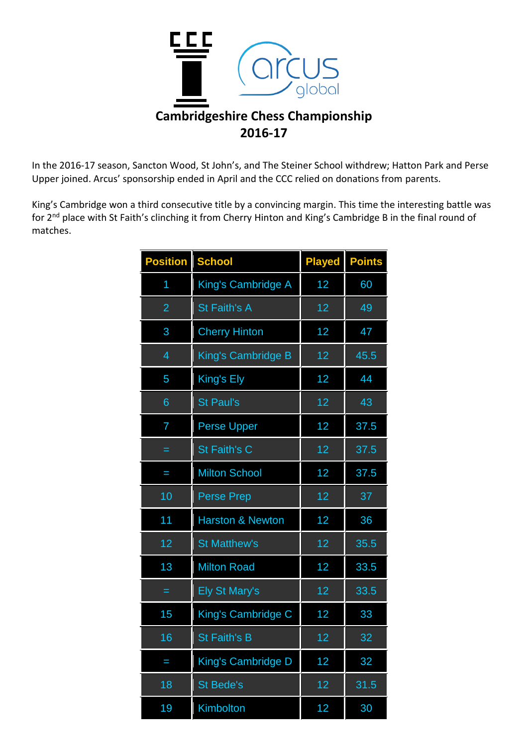

In the 2016-17 season, Sancton Wood, St John's, and The Steiner School withdrew; Hatton Park and Perse Upper joined. Arcus' sponsorship ended in April and the CCC relied on donations from parents.

King's Cambridge won a third consecutive title by a convincing margin. This time the interesting battle was for 2nd place with St Faith's clinching it from Cherry Hinton and King's Cambridge B in the final round of matches.

| <b>Position</b> | <b>School</b>               | <b>Played</b> | <b>Points</b> |
|-----------------|-----------------------------|---------------|---------------|
| 1               | King's Cambridge A          | 12            | 60            |
| $\overline{2}$  | <b>St Faith's A</b>         | 12            | 49            |
| 3               | <b>Cherry Hinton</b>        | 12            | 47            |
| 4               | King's Cambridge B          | 12            | 45.5          |
| 5               | King's Ely                  | 12            | 44            |
| 6               | <b>St Paul's</b>            | 12            | 43            |
| 7               | <b>Perse Upper</b>          | 12            | 37.5          |
| =               | <b>St Faith's C</b>         | 12            | 37.5          |
|                 | <b>Milton School</b>        | 12            | 37.5          |
| 10              | <b>Perse Prep</b>           | 12            | 37            |
| 11              | <b>Harston &amp; Newton</b> | 12            | 36            |
| 12              | <b>St Matthew's</b>         | 12            | 35.5          |
| 13              | <b>Milton Road</b>          | 12            | 33.5          |
| $=$             | <b>Ely St Mary's</b>        | 12            | 33.5          |
| 15              | King's Cambridge C          | 12            | 33            |
| 16              | <b>St Faith's B</b>         | 12            | 32            |
| I               | King's Cambridge D          | 12            | 32            |
| 18              | <b>St Bede's</b>            | 12            | 31.5          |
| 19              | Kimbolton                   | 12            | 30            |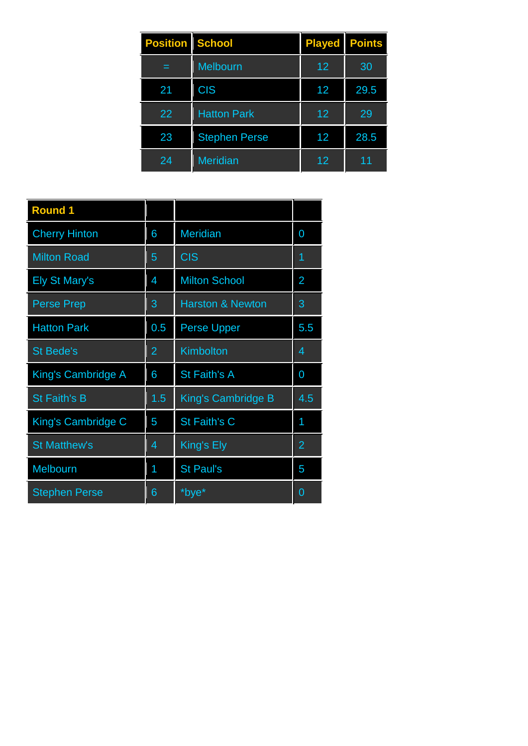| <b>Position School</b> |                      | <b>Played</b> | <b>Points</b> |
|------------------------|----------------------|---------------|---------------|
| $=$                    | <b>Melbourn</b>      | 12            | 30            |
| 21                     | <b>CIS</b>           | 12            | 29.5          |
| 22                     | <b>Hatton Park</b>   | 12            | 29            |
| 23                     | <b>Stephen Perse</b> | 12            | 28.5          |
| 24                     | <b>Meridian</b>      | 12            | 11            |

| <b>Round 1</b>       |                  |                             |                |
|----------------------|------------------|-----------------------------|----------------|
| <b>Cherry Hinton</b> | 6                | <b>Meridian</b>             | 0              |
| <b>Milton Road</b>   | 5                | <b>CIS</b>                  | 1              |
| <b>Ely St Mary's</b> | 4                | <b>Milton School</b>        | $\overline{2}$ |
| <b>Perse Prep</b>    | 3                | <b>Harston &amp; Newton</b> | 3              |
| <b>Hatton Park</b>   | 0.5              | <b>Perse Upper</b>          | 5.5            |
| <b>St Bede's</b>     | $\overline{2}$   | <b>Kimbolton</b>            | 4              |
| King's Cambridge A   | 6                | <b>St Faith's A</b>         | 0              |
| <b>St Faith's B</b>  | $1.\overline{5}$ | King's Cambridge B          | 4.5            |
| King's Cambridge C   | 5                | <b>St Faith's C</b>         | 1              |
| <b>St Matthew's</b>  | 4                | King's Ely                  | $\overline{2}$ |
| Melbourn             | 1                | <b>St Paul's</b>            | 5              |
| <b>Stephen Perse</b> | 6                | *bye*                       | 0              |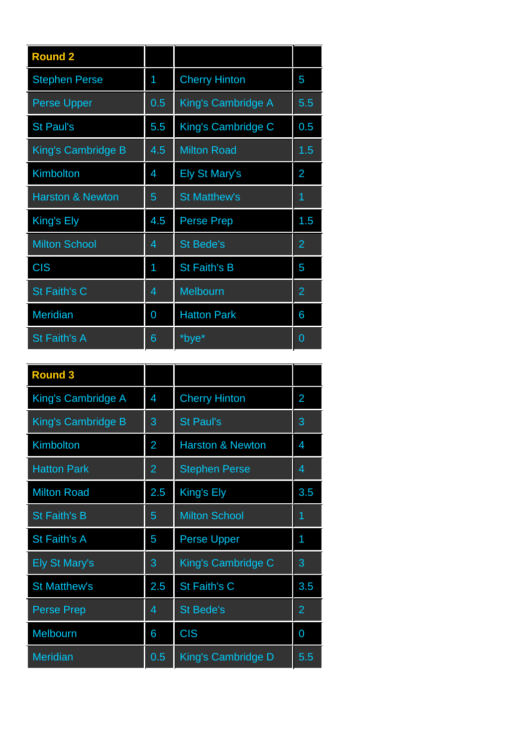| <b>Round 2</b>              |     |                      |     |
|-----------------------------|-----|----------------------|-----|
| <b>Stephen Perse</b>        | 1   | <b>Cherry Hinton</b> | 5   |
| <b>Perse Upper</b>          | 0.5 | King's Cambridge A   | 5.5 |
| <b>St Paul's</b>            | 5.5 | King's Cambridge C   | 0.5 |
| King's Cambridge B          | 4.5 | <b>Milton Road</b>   | 1.5 |
| Kimbolton                   | 4   | <b>Ely St Mary's</b> | 2   |
| <b>Harston &amp; Newton</b> | 5   | <b>St Matthew's</b>  | 1   |
| King's Ely                  | 4.5 | <b>Perse Prep</b>    | 1.5 |
| <b>Milton School</b>        | 4   | <b>St Bede's</b>     | 2   |
| <b>CIS</b>                  | 1   | <b>St Faith's B</b>  | 5   |
| St Faith's C                | 4   | Melbourn             | 2   |
| <b>Meridian</b>             | 0   | <b>Hatton Park</b>   | 6   |
| <b>St Faith's A</b>         | 6   | *bye*                | Ⴖ   |

| <b>Round 3</b>       |                |                             |                |
|----------------------|----------------|-----------------------------|----------------|
| King's Cambridge A   | 4              | <b>Cherry Hinton</b>        | $\overline{2}$ |
| King's Cambridge B   | 3              | <b>St Paul's</b>            | 3              |
| Kimbolton            | 2              | <b>Harston &amp; Newton</b> | 4              |
| <b>Hatton Park</b>   | $\overline{2}$ | <b>Stephen Perse</b>        | 4              |
| <b>Milton Road</b>   | 2.5            | King's Ely                  | 3.5            |
| <b>St Faith's B</b>  | 5              | <b>Milton School</b>        | 1              |
| <b>St Faith's A</b>  | 5              | <b>Perse Upper</b>          | 1              |
| <b>Ely St Mary's</b> | 3              | King's Cambridge C          | 3              |
| <b>St Matthew's</b>  | 2.5            | <b>St Faith's C</b>         | 3.5            |
| <b>Perse Prep</b>    | 4              | <b>St Bede's</b>            | $\overline{2}$ |
| Melbourn             | 6              | <b>CIS</b>                  | 0              |
| <b>Meridian</b>      | 0.5            | King's Cambridge D          | 5.5            |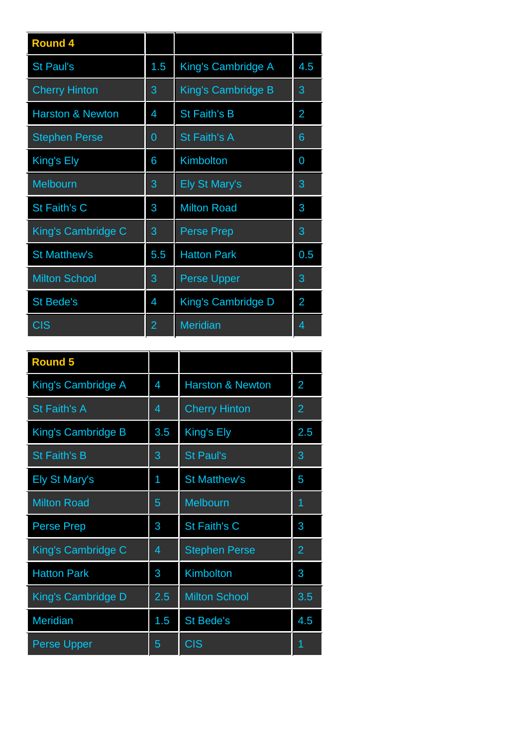| <b>Round 4</b>              |                |                      |                |
|-----------------------------|----------------|----------------------|----------------|
| <b>St Paul's</b>            | 1.5            | King's Cambridge A   | 4.5            |
| <b>Cherry Hinton</b>        | 3              | King's Cambridge B   | 3              |
| <b>Harston &amp; Newton</b> | 4              | <b>St Faith's B</b>  | 2              |
| <b>Stephen Perse</b>        | 0              | St Faith's A         | 6              |
| King's Ely                  | 6              | Kimbolton            | 0              |
| <b>Melbourn</b>             | 3              | <b>Ely St Mary's</b> | 3              |
| St Faith's C                | 3              | <b>Milton Road</b>   | 3              |
| King's Cambridge C          | 3              | <b>Perse Prep</b>    | 3              |
| <b>St Matthew's</b>         | 5.5            | <b>Hatton Park</b>   | 0.5            |
| <b>Milton School</b>        | 3              | <b>Perse Upper</b>   | 3              |
| <b>St Bede's</b>            | 4              | King's Cambridge D   | $\overline{2}$ |
| <b>CIS</b>                  | $\overline{2}$ | <b>Meridian</b>      | 4              |
|                             |                |                      |                |

| <b>Round 5</b>       |     |                             |                |
|----------------------|-----|-----------------------------|----------------|
| King's Cambridge A   | 4   | <b>Harston &amp; Newton</b> | $\overline{2}$ |
| <b>St Faith's A</b>  | 4   | <b>Cherry Hinton</b>        | $\overline{2}$ |
| King's Cambridge B   | 3.5 | King's Ely                  | 2.5            |
| <b>St Faith's B</b>  | 3   | <b>St Paul's</b>            | 3              |
| <b>Ely St Mary's</b> | 1   | <b>St Matthew's</b>         | 5              |
| <b>Milton Road</b>   | 5   | Melbourn                    | 1              |
| <b>Perse Prep</b>    | 3   | St Faith's C                | 3              |
| King's Cambridge C   | 4   | <b>Stephen Perse</b>        | $\overline{2}$ |
| <b>Hatton Park</b>   | 3   | Kimbolton                   | 3              |
| King's Cambridge D   | 2.5 | <b>Milton School</b>        | 3.5            |
| <b>Meridian</b>      | 1.5 | <b>St Bede's</b>            | 4.5            |
| <b>Perse Upper</b>   | 5   | <b>CIS</b>                  | 1              |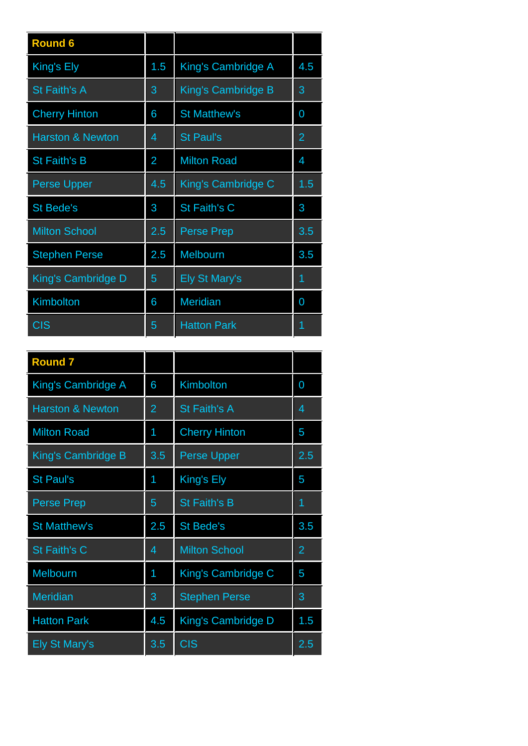| <b>Round 6</b>              |                |                      |     |
|-----------------------------|----------------|----------------------|-----|
| King's Ely                  | 1.5            | King's Cambridge A   | 4.5 |
| <b>St Faith's A</b>         | 3              | King's Cambridge B   | 3   |
| <b>Cherry Hinton</b>        | 6              | <b>St Matthew's</b>  | 0   |
| <b>Harston &amp; Newton</b> | 4              | <b>St Paul's</b>     | 2   |
| <b>St Faith's B</b>         | $\overline{2}$ | <b>Milton Road</b>   | 4   |
| <b>Perse Upper</b>          | 4.5            | King's Cambridge C   | 1.5 |
| <b>St Bede's</b>            | 3              | St Faith's C         | 3   |
| <b>Milton School</b>        | 2.5            | <b>Perse Prep</b>    | 3.5 |
| <b>Stephen Perse</b>        | 2.5            | Melbourn             | 3.5 |
| King's Cambridge D          | 5              | <b>Ely St Mary's</b> | 1   |
| Kimbolton                   | 6              | <b>Meridian</b>      | 0   |
| <b>CIS</b>                  | 5              | <b>Hatton Park</b>   | 1   |

| <b>Round 7</b>              |                |                      |                |
|-----------------------------|----------------|----------------------|----------------|
| King's Cambridge A          | 6              | Kimbolton            | 0              |
| <b>Harston &amp; Newton</b> | $\overline{2}$ | <b>St Faith's A</b>  | 4              |
| <b>Milton Road</b>          | 1              | <b>Cherry Hinton</b> | 5              |
| King's Cambridge B          | 3.5            | <b>Perse Upper</b>   | 2.5            |
| <b>St Paul's</b>            | 1              | King's Ely           | 5              |
| <b>Perse Prep</b>           | 5              | <b>St Faith's B</b>  | 1              |
| <b>St Matthew's</b>         | 2.5            | <b>St Bede's</b>     | 3.5            |
| <b>St Faith's C</b>         | 4              | <b>Milton School</b> | $\overline{2}$ |
| <b>Melbourn</b>             | 1              | King's Cambridge C   | 5              |
| Meridian                    | 3              | <b>Stephen Perse</b> | 3              |
| <b>Hatton Park</b>          | 4.5            | King's Cambridge D   | 1.5            |
| <b>Ely St Mary's</b>        | 3.5            | <b>CIS</b>           | 2.5            |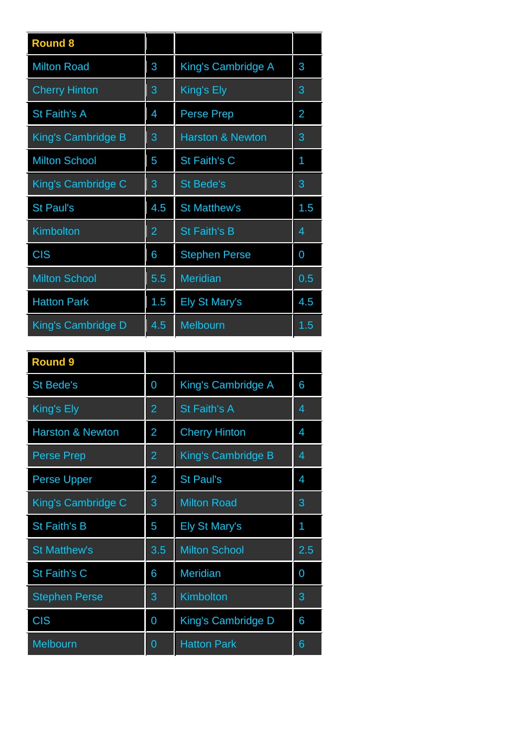| <b>Round 8</b>       |     |                             |     |
|----------------------|-----|-----------------------------|-----|
| <b>Milton Road</b>   | 3   | King's Cambridge A          | 3   |
| <b>Cherry Hinton</b> | 3   | <b>King's Ely</b>           | 3   |
| <b>St Faith's A</b>  | 4   | <b>Perse Prep</b>           | 2   |
| King's Cambridge B   | 3   | <b>Harston &amp; Newton</b> | 3   |
| <b>Milton School</b> | 5   | <b>St Faith's C</b>         | 1   |
| King's Cambridge C   | 3   | <b>St Bede's</b>            | 3   |
| <b>St Paul's</b>     | 4.5 | <b>St Matthew's</b>         | 1.5 |
| Kimbolton            | 2   | <b>St Faith's B</b>         | 4   |
| <b>CIS</b>           | 6   | <b>Stephen Perse</b>        | 0   |
| <b>Milton School</b> | 5.5 | <b>Meridian</b>             | 0.5 |
| <b>Hatton Park</b>   | 1.5 | <b>Ely St Mary's</b>        | 4.5 |
| King's Cambridge D   | 4.5 | <b>Melbourn</b>             | 1.5 |

| <b>Round 9</b>              |                |                      |     |
|-----------------------------|----------------|----------------------|-----|
| <b>St Bede's</b>            | 0              | King's Cambridge A   | 6   |
| King's Ely                  | $\overline{2}$ | <b>St Faith's A</b>  | 4   |
| <b>Harston &amp; Newton</b> | $\overline{2}$ | <b>Cherry Hinton</b> | 4   |
| <b>Perse Prep</b>           | $\overline{2}$ | King's Cambridge B   | 4   |
| <b>Perse Upper</b>          | $\overline{2}$ | <b>St Paul's</b>     | 4   |
| King's Cambridge C          | 3              | <b>Milton Road</b>   | 3   |
| <b>St Faith's B</b>         | 5              | <b>Ely St Mary's</b> | 1   |
| <b>St Matthew's</b>         | 3.5            | <b>Milton School</b> | 2.5 |
| St Faith's C                | 6              | <b>Meridian</b>      | 0   |
| <b>Stephen Perse</b>        | 3              | Kimbolton            | 3   |
| <b>CIS</b>                  | 0              | King's Cambridge D   | 6   |
| Melbourn                    | 0              | <b>Hatton Park</b>   | 6   |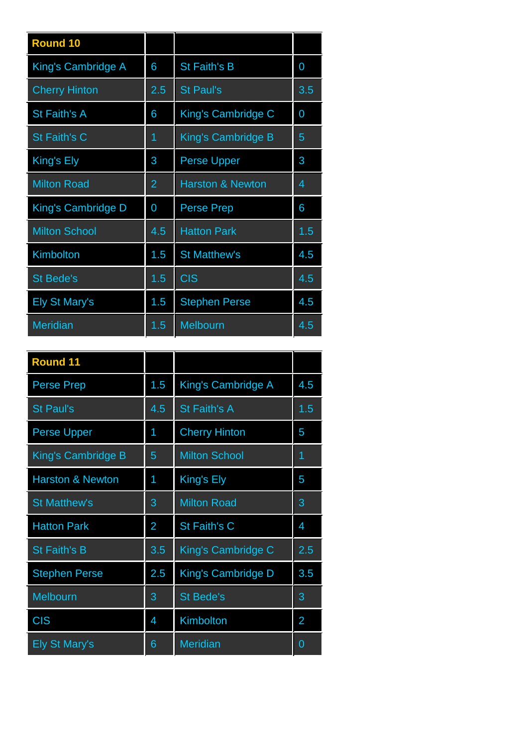| <b>Round 10</b>      |                |                             |     |
|----------------------|----------------|-----------------------------|-----|
| King's Cambridge A   | 6              | <b>St Faith's B</b>         | 0   |
| <b>Cherry Hinton</b> | 2.5            | <b>St Paul's</b>            | 3.5 |
| <b>St Faith's A</b>  | 6              | King's Cambridge C          | 0   |
| <b>St Faith's C</b>  | 1              | King's Cambridge B          | 5   |
| King's Ely           | 3              | <b>Perse Upper</b>          | 3   |
| <b>Milton Road</b>   | $\overline{2}$ | <b>Harston &amp; Newton</b> | 4   |
| King's Cambridge D   | 0              | <b>Perse Prep</b>           | 6   |
| <b>Milton School</b> | 4.5            | <b>Hatton Park</b>          | 1.5 |
| <b>Kimbolton</b>     | 1.5            | <b>St Matthew's</b>         | 4.5 |
| <b>St Bede's</b>     | 1.5            | <b>CIS</b>                  | 4.5 |
| <b>Ely St Mary's</b> | 1.5            | <b>Stephen Perse</b>        | 4.5 |
| <b>Meridian</b>      | 1.5            | Melbourn                    | 4.5 |

| <b>Round 11</b>             |                |                             |     |
|-----------------------------|----------------|-----------------------------|-----|
| <b>Perse Prep</b>           | 1.5            | 4.5<br>King's Cambridge A   |     |
| <b>St Paul's</b>            | 4.5            | St Faith's A<br>1.5         |     |
| <b>Perse Upper</b>          | 1              | <b>Cherry Hinton</b><br>5   |     |
| King's Cambridge B          | 5              | <b>Milton School</b><br>1   |     |
| <b>Harston &amp; Newton</b> | 1              | King's Ely                  | 5   |
| <b>St Matthew's</b>         | 3              | <b>Milton Road</b>          | 3   |
| <b>Hatton Park</b>          | $\overline{2}$ | <b>St Faith's C</b>         | 4   |
| <b>St Faith's B</b>         | 3.5            | King's Cambridge C          | 2.5 |
| <b>Stephen Perse</b>        | 2.5            | King's Cambridge D          | 3.5 |
| <b>Melbourn</b>             | 3              | <b>St Bede's</b><br>3       |     |
| <b>CIS</b>                  | 4              | $\overline{2}$<br>Kimbolton |     |
| <b>Ely St Mary's</b>        | 6              | <b>Meridian</b><br>O        |     |